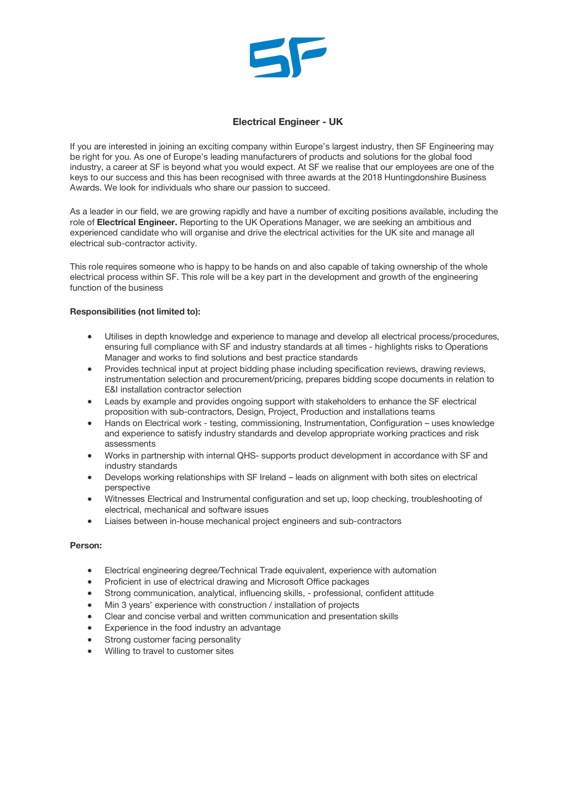

## **Electrical Engineer - UK**

If you are interested in joining an exciting company within Europe's largest industry, then SF Engineering may be right for you. As one of Europe's leading manufacturers of products and solutions for the global food industry, a career at SF is beyond what you would expect. At SF we realise that our employees are one of the keys to our success and this has been recognised with three awards at the 2018 Huntingdonshire Business Awards. We look for individuals who share our passion to succeed.

As a leader in our field, we are growing rapidly and have a number of exciting positions available, including the role of **Electrical Engineer.** Reporting to the UK Operations Manager, we are seeking an ambitious and experienced candidate who will organise and drive the electrical activities for the UK site and manage all electrical sub-contractor activity.

This role requires someone who is happy to be hands on and also capable of taking ownership of the whole electrical process within SF. This role will be a key part in the development and growth of the engineering function of the business

## **Responsibilities (not limited to):**

- Utilises in depth knowledge and experience to manage and develop all electrical process/procedures, ensuring full compliance with SF and industry standards at all times - highlights risks to Operations Manager and works to find solutions and best practice standards
- Provides technical input at project bidding phase including specification reviews, drawing reviews, instrumentation selection and procurement/pricing, prepares bidding scope documents in relation to E&I installation contractor selection
- Leads by example and provides ongoing support with stakeholders to enhance the SF electrical proposition with sub-contractors, Design, Project, Production and installations teams
- Hands on Electrical work testing, commissioning, Instrumentation, Configuration uses knowledge and experience to satisfy industry standards and develop appropriate working practices and risk assessments
- Works in partnership with internal QHS- supports product development in accordance with SF and industry standards
- Develops working relationships with SF Ireland leads on alignment with both sites on electrical perspective
- Witnesses Electrical and Instrumental configuration and set up, loop checking, troubleshooting of electrical, mechanical and software issues
- Liaises between in-house mechanical project engineers and sub-contractors

## **Person:**

- Electrical engineering degree/Technical Trade equivalent, experience with automation
- Proficient in use of electrical drawing and Microsoft Office packages
- Strong communication, analytical, influencing skills, professional, confident attitude
- Min 3 years' experience with construction / installation of projects
- Clear and concise verbal and written communication and presentation skills
- Experience in the food industry an advantage
- Strong customer facing personality
- Willing to travel to customer sites